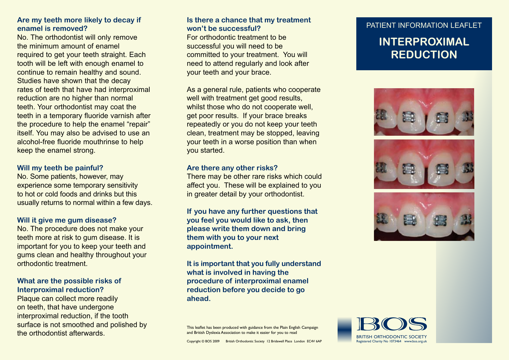# **Are my teeth more likely to decay if enamel is removed?**

No. The orthodontist will only remove the minimum amount of enamel required to get your teeth straight. Each tooth will be left with enough enamel to continue to remain healthy and sound. Studies have shown that the decay rates of teeth that have had interproximal reduction are no higher than normal teeth. Your orthodontist may coat the teeth in a temporary fluoride varnish after the procedure to help the enamel "repair" itself. You may also be advised to use an alcohol-free fluoride mouthrinse to help keep the enamel strong.

### **Will my teeth be painful?**

No. Some patients, however, may experience some temporary sensitivity to hot or cold foods and drinks but this usually returns to normal within a few days.

### **Will it give me gum disease?**

No. The procedure does not make your teeth more at risk to gum disease. It is important for you to keep your teeth and gums clean and healthy throughout your orthodontic treatment.

### **What are the possible risks of Interproximal reduction?**

Plaque can collect more readily on teeth, that have undergone interproximal reduction, if the tooth surface is not smoothed and polished by the orthodontist afterwards.

# **Is there a chance that my treatment won't be successful?**

For orthodontic treatment to be successful you will need to be committed to your treatment. You will need to attend regularly and look after your teeth and your brace.

As a general rule, patients who cooperate well with treatment get good results, whilst those who do not cooperate well. get poor results. If your brace breaks repeatedly or you do not keep your teeth clean, treatment may be stopped, leaving your teeth in a worse position than when you started.

### **Are there any other risks?**

There may be other rare risks which could affect you. These will be explained to you in greater detail by your orthodontist.

**If you have any further questions that you feel you would like to ask, then please write them down and bring them with you to your next appointment.**

**It is important that you fully understand what is involved in having the procedure of interproximal enamel reduction before you decide to go ahead.**

This leaflet has been produced with guidance from the Plain English Campaign and British Dyslexia Association to make it easier for you to read

### PATIENT INFORMATION LEAFLET

# **INTERPROXIMAL REDUCTION**